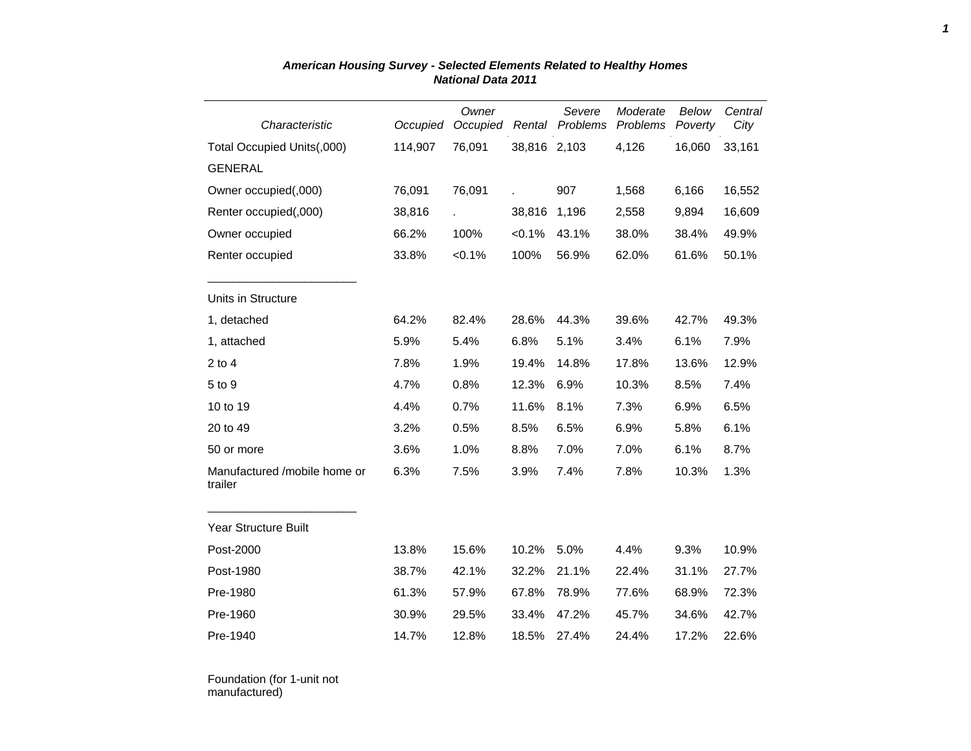| Characteristic                          | Occupied | Owner<br>Occupied | Rental       | Severe<br>Problems | Moderate<br>Problems | Below<br>Poverty | Central<br>City |
|-----------------------------------------|----------|-------------------|--------------|--------------------|----------------------|------------------|-----------------|
| Total Occupied Units(,000)              | 114,907  | 76,091            | 38,816 2,103 |                    | 4,126                | 16,060           | 33,161          |
| <b>GENERAL</b>                          |          |                   |              |                    |                      |                  |                 |
| Owner occupied(,000)                    | 76,091   | 76,091            |              | 907                | 1,568                | 6,166            | 16,552          |
| Renter occupied(,000)                   | 38,816   |                   | 38,816       | 1,196              | 2,558                | 9,894            | 16,609          |
| Owner occupied                          | 66.2%    | 100%              | < 0.1%       | 43.1%              | 38.0%                | 38.4%            | 49.9%           |
| Renter occupied                         | 33.8%    | $< 0.1\%$         | 100%         | 56.9%              | 62.0%                | 61.6%            | 50.1%           |
| Units in Structure                      |          |                   |              |                    |                      |                  |                 |
| 1, detached                             | 64.2%    | 82.4%             | 28.6%        | 44.3%              | 39.6%                | 42.7%            | 49.3%           |
| 1, attached                             | 5.9%     | 5.4%              | 6.8%         | 5.1%               | 3.4%                 | 6.1%             | 7.9%            |
| $2$ to $4$                              | 7.8%     | 1.9%              | 19.4%        | 14.8%              | 17.8%                | 13.6%            | 12.9%           |
| 5 to 9                                  | 4.7%     | 0.8%              | 12.3%        | 6.9%               | 10.3%                | 8.5%             | 7.4%            |
| 10 to 19                                | 4.4%     | 0.7%              | 11.6%        | 8.1%               | 7.3%                 | 6.9%             | 6.5%            |
| 20 to 49                                | 3.2%     | 0.5%              | 8.5%         | 6.5%               | 6.9%                 | 5.8%             | 6.1%            |
| 50 or more                              | 3.6%     | 1.0%              | 8.8%         | 7.0%               | 7.0%                 | 6.1%             | 8.7%            |
| Manufactured /mobile home or<br>trailer | 6.3%     | 7.5%              | 3.9%         | 7.4%               | 7.8%                 | 10.3%            | 1.3%            |
| Year Structure Built                    |          |                   |              |                    |                      |                  |                 |
| Post-2000                               | 13.8%    | 15.6%             | 10.2%        | 5.0%               | 4.4%                 | 9.3%             | 10.9%           |
| Post-1980                               | 38.7%    | 42.1%             | 32.2%        | 21.1%              | 22.4%                | 31.1%            | 27.7%           |
| Pre-1980                                | 61.3%    | 57.9%             | 67.8%        | 78.9%              | 77.6%                | 68.9%            | 72.3%           |
| Pre-1960                                | 30.9%    | 29.5%             | 33.4%        | 47.2%              | 45.7%                | 34.6%            | 42.7%           |
| Pre-1940                                | 14.7%    | 12.8%             | 18.5%        | 27.4%              | 24.4%                | 17.2%            | 22.6%           |

## *American Housing Survey - Selected Elements Related to Healthy Homes National Data 2011*

Foundation (for 1-unit not manufactured)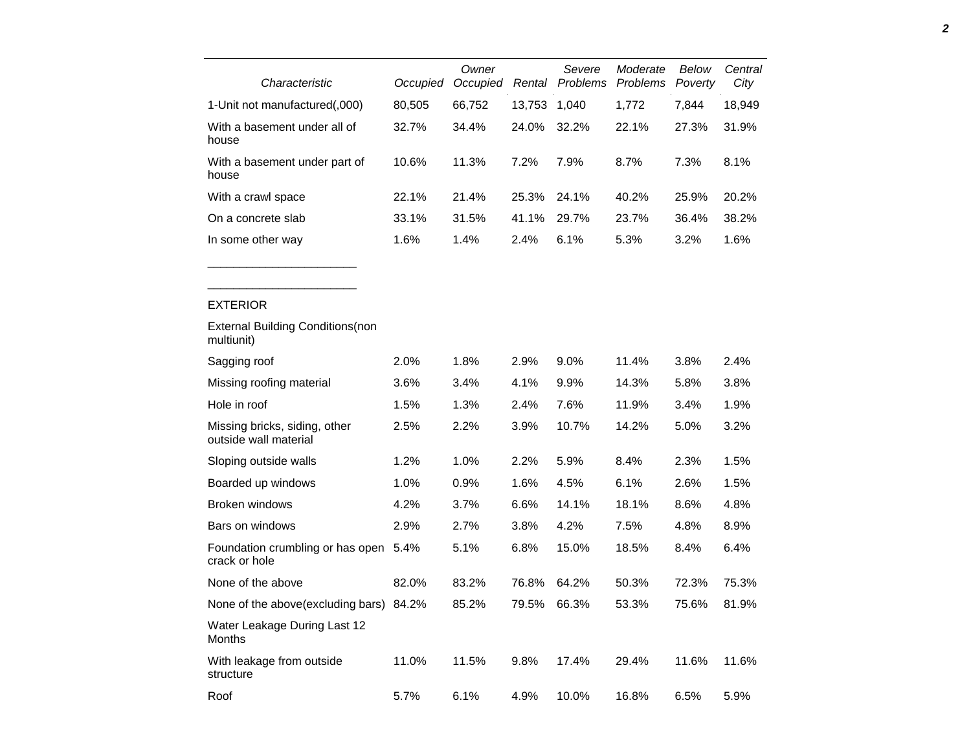| Characteristic                                         | Occupied | Owner<br>Occupied | Rental | Severe<br>Problems | Moderate<br>Problems | Below<br>Poverty | Central<br>City |
|--------------------------------------------------------|----------|-------------------|--------|--------------------|----------------------|------------------|-----------------|
| 1-Unit not manufactured(,000)                          | 80,505   | 66,752            | 13,753 | 1,040              | 1,772                | 7,844            | 18,949          |
| With a basement under all of<br>house                  | 32.7%    | 34.4%             | 24.0%  | 32.2%              | 22.1%                | 27.3%            | 31.9%           |
| With a basement under part of<br>house                 | 10.6%    | 11.3%             | 7.2%   | 7.9%               | 8.7%                 | 7.3%             | 8.1%            |
| With a crawl space                                     | 22.1%    | 21.4%             | 25.3%  | 24.1%              | 40.2%                | 25.9%            | 20.2%           |
| On a concrete slab                                     | 33.1%    | 31.5%             | 41.1%  | 29.7%              | 23.7%                | 36.4%            | 38.2%           |
| In some other way                                      | 1.6%     | 1.4%              | 2.4%   | 6.1%               | 5.3%                 | 3.2%             | 1.6%            |
|                                                        |          |                   |        |                    |                      |                  |                 |
| <b>EXTERIOR</b>                                        |          |                   |        |                    |                      |                  |                 |
| <b>External Building Conditions (non</b><br>multiunit) |          |                   |        |                    |                      |                  |                 |
| Sagging roof                                           | 2.0%     | 1.8%              | 2.9%   | 9.0%               | 11.4%                | 3.8%             | 2.4%            |
| Missing roofing material                               | 3.6%     | 3.4%              | 4.1%   | 9.9%               | 14.3%                | 5.8%             | 3.8%            |
| Hole in roof                                           | 1.5%     | 1.3%              | 2.4%   | 7.6%               | 11.9%                | 3.4%             | 1.9%            |
| Missing bricks, siding, other<br>outside wall material | 2.5%     | 2.2%              | 3.9%   | 10.7%              | 14.2%                | 5.0%             | 3.2%            |
| Sloping outside walls                                  | 1.2%     | 1.0%              | 2.2%   | 5.9%               | 8.4%                 | 2.3%             | 1.5%            |
| Boarded up windows                                     | 1.0%     | 0.9%              | 1.6%   | 4.5%               | 6.1%                 | 2.6%             | 1.5%            |
| <b>Broken windows</b>                                  | 4.2%     | 3.7%              | 6.6%   | 14.1%              | 18.1%                | 8.6%             | 4.8%            |
| Bars on windows                                        | 2.9%     | 2.7%              | 3.8%   | 4.2%               | 7.5%                 | 4.8%             | 8.9%            |
| Foundation crumbling or has open<br>crack or hole      | 5.4%     | 5.1%              | 6.8%   | 15.0%              | 18.5%                | 8.4%             | 6.4%            |

| Missing bricks, siding, other<br>outside wall material | 2.5%  | 2.2%  | 3.9%  | 10.7% | 14.2% | 5.0%  | 3.2%  |
|--------------------------------------------------------|-------|-------|-------|-------|-------|-------|-------|
| Sloping outside walls                                  | 1.2%  | 1.0%  | 2.2%  | 5.9%  | 8.4%  | 2.3%  | 1.5%  |
| Boarded up windows                                     | 1.0%  | 0.9%  | 1.6%  | 4.5%  | 6.1%  | 2.6%  | 1.5%  |
| Broken windows                                         | 4.2%  | 3.7%  | 6.6%  | 14.1% | 18.1% | 8.6%  | 4.8%  |
| Bars on windows                                        | 2.9%  | 2.7%  | 3.8%  | 4.2%  | 7.5%  | 4.8%  | 8.9%  |
| Foundation crumbling or has open<br>crack or hole      | 5.4%  | 5.1%  | 6.8%  | 15.0% | 18.5% | 8.4%  | 6.4%  |
| None of the above                                      | 82.0% | 83.2% | 76.8% | 64.2% | 50.3% | 72.3% | 75.3% |
| None of the above (excluding bars)                     | 84.2% | 85.2% | 79.5% | 66.3% | 53.3% | 75.6% | 81.9% |
| Water Leakage During Last 12<br><b>Months</b>          |       |       |       |       |       |       |       |
| With leakage from outside<br>structure                 | 11.0% | 11.5% | 9.8%  | 17.4% | 29.4% | 11.6% | 11.6% |

Roof 5.7% 6.1% 4.9% 10.0% 16.8% 6.5% 5.9%

structure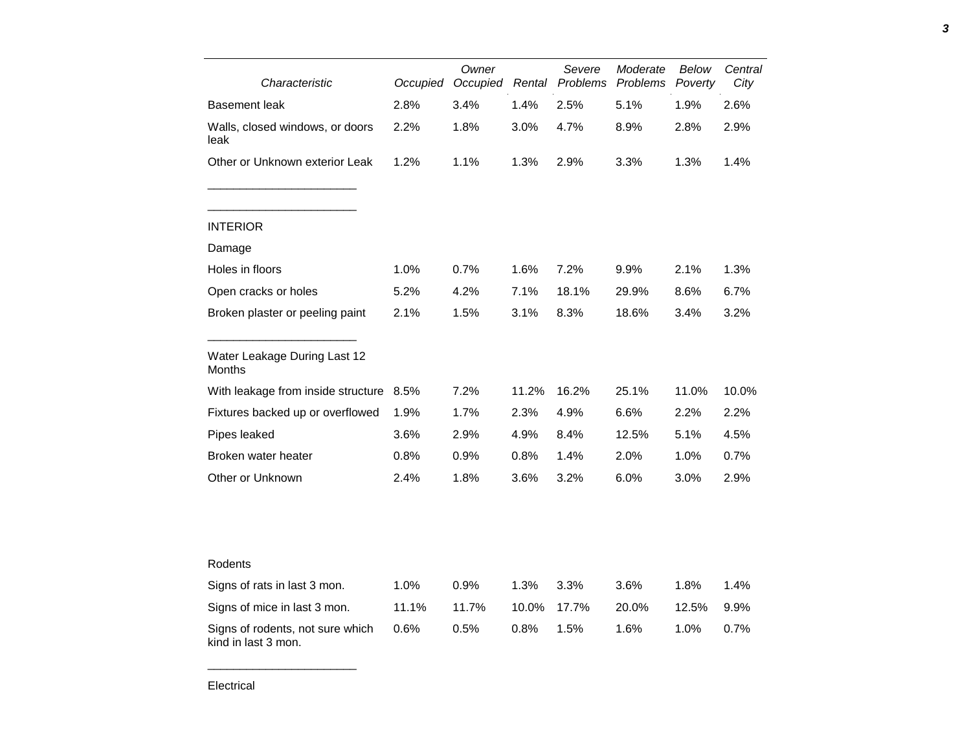| Characteristic                                          | Owner<br>Occupied<br>Occupied |       | Severe<br>Rental Problems | Moderate<br><b>Problems</b> | Below<br>Poverty | Central<br>City |       |
|---------------------------------------------------------|-------------------------------|-------|---------------------------|-----------------------------|------------------|-----------------|-------|
| <b>Basement leak</b>                                    | 2.8%                          | 3.4%  | 1.4%                      | 2.5%                        | 5.1%             | 1.9%            | 2.6%  |
| Walls, closed windows, or doors<br>leak                 | 2.2%                          | 1.8%  | 3.0%                      | 4.7%                        | 8.9%             | 2.8%            | 2.9%  |
| Other or Unknown exterior Leak                          | 1.2%                          | 1.1%  | 1.3%                      | 2.9%                        | 3.3%             | 1.3%            | 1.4%  |
| <b>INTERIOR</b>                                         |                               |       |                           |                             |                  |                 |       |
| Damage                                                  |                               |       |                           |                             |                  |                 |       |
| Holes in floors                                         | 1.0%                          | 0.7%  | 1.6%                      | 7.2%                        | 9.9%             | 2.1%            | 1.3%  |
| Open cracks or holes                                    | 5.2%                          | 4.2%  | 7.1%                      | 18.1%                       | 29.9%            | 8.6%            | 6.7%  |
| Broken plaster or peeling paint                         | 2.1%                          | 1.5%  | 3.1%                      | 8.3%                        | 18.6%            | 3.4%            | 3.2%  |
| Water Leakage During Last 12<br>Months                  |                               |       |                           |                             |                  |                 |       |
| With leakage from inside structure                      | 8.5%                          | 7.2%  | 11.2%                     | 16.2%                       | 25.1%            | 11.0%           | 10.0% |
| Fixtures backed up or overflowed                        | 1.9%                          | 1.7%  | 2.3%                      | 4.9%                        | 6.6%             | 2.2%            | 2.2%  |
| Pipes leaked                                            | 3.6%                          | 2.9%  | 4.9%                      | 8.4%                        | 12.5%            | 5.1%            | 4.5%  |
| Broken water heater                                     | 0.8%                          | 0.9%  | 0.8%                      | 1.4%                        | 2.0%             | 1.0%            | 0.7%  |
| Other or Unknown                                        | 2.4%                          | 1.8%  | 3.6%                      | 3.2%                        | 6.0%             | 3.0%            | 2.9%  |
|                                                         |                               |       |                           |                             |                  |                 |       |
| Rodents                                                 |                               |       |                           |                             |                  |                 |       |
| Signs of rats in last 3 mon.                            | 1.0%                          | 0.9%  | 1.3%                      | 3.3%                        | 3.6%             | 1.8%            | 1.4%  |
| Signs of mice in last 3 mon.                            | 11.1%                         | 11.7% | 10.0%                     | 17.7%                       | 20.0%            | 12.5%           | 9.9%  |
| Signs of rodents, not sure which<br>kind in last 3 mon. | 0.6%                          | 0.5%  | 0.8%                      | 1.5%                        | 1.6%             | 1.0%            | 0.7%  |

Electrical

\_\_\_\_\_\_\_\_\_\_\_\_\_\_\_\_\_\_\_\_\_\_\_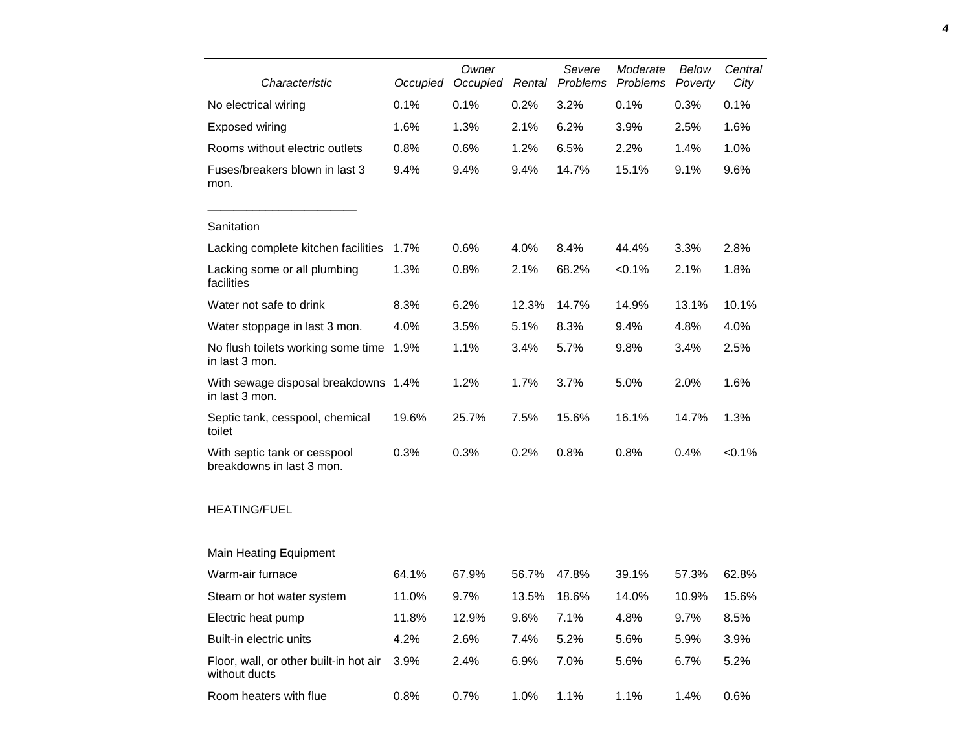| Characteristic                                            | Occupied | Owner<br>Rental<br>Occupied |       | Severe<br>Problems | Moderate<br>Problems | Below<br>Poverty | Central<br>City |
|-----------------------------------------------------------|----------|-----------------------------|-------|--------------------|----------------------|------------------|-----------------|
| No electrical wiring                                      | 0.1%     | 0.1%                        | 0.2%  | 3.2%               | 0.1%                 | 0.3%             | 0.1%            |
| Exposed wiring                                            | 1.6%     | 1.3%                        | 2.1%  | 6.2%               | 3.9%                 | 2.5%             | 1.6%            |
| Rooms without electric outlets                            | 0.8%     | 0.6%                        | 1.2%  | 6.5%               | 2.2%                 | 1.4%             | 1.0%            |
| Fuses/breakers blown in last 3<br>mon.                    | 9.4%     | 9.4%                        | 9.4%  | 14.7%              | 15.1%                | 9.1%             | 9.6%            |
| Sanitation                                                |          |                             |       |                    |                      |                  |                 |
| Lacking complete kitchen facilities                       | 1.7%     | 0.6%                        | 4.0%  | 8.4%               | 44.4%                | 3.3%             | 2.8%            |
| Lacking some or all plumbing<br>facilities                | 1.3%     | 0.8%                        | 2.1%  | 68.2%              | < 0.1%               | 2.1%             | 1.8%            |
| Water not safe to drink                                   | 8.3%     | 6.2%                        | 12.3% | 14.7%              | 14.9%                | 13.1%            | 10.1%           |
| Water stoppage in last 3 mon.                             | 4.0%     | 3.5%                        | 5.1%  | 8.3%               | 9.4%                 | 4.8%             | 4.0%            |
| No flush toilets working some time<br>in last 3 mon.      | 1.9%     | 1.1%                        | 3.4%  | 5.7%               | 9.8%                 | 3.4%             | 2.5%            |
| With sewage disposal breakdowns 1.4%<br>in last 3 mon.    |          | 1.2%                        | 1.7%  | 3.7%               | 5.0%                 | 2.0%             | 1.6%            |
| Septic tank, cesspool, chemical<br>toilet                 | 19.6%    | 25.7%                       | 7.5%  | 15.6%              | 16.1%                | 14.7%            | 1.3%            |
| With septic tank or cesspool<br>breakdowns in last 3 mon. | 0.3%     | 0.3%                        | 0.2%  | 0.8%               | 0.8%                 | 0.4%             | < 0.1%          |
| <b>HEATING/FUEL</b>                                       |          |                             |       |                    |                      |                  |                 |
| <b>Main Heating Equipment</b>                             |          |                             |       |                    |                      |                  |                 |
| Warm-air furnace                                          | 64.1%    | 67.9%                       | 56.7% | 47.8%              | 39.1%                | 57.3%            | 62.8%           |
| Steam or hot water system                                 | 11.0%    | 9.7%                        | 13.5% | 18.6%              | 14.0%                | 10.9%            | 15.6%           |
| Electric heat pump                                        | 11.8%    | 12.9%                       | 9.6%  | 7.1%               | 4.8%                 | 9.7%             | 8.5%            |
| Built-in electric units                                   | 4.2%     | 2.6%                        | 7.4%  | 5.2%               | 5.6%                 | 5.9%             | 3.9%            |
| Floor, wall, or other built-in hot air<br>without ducts   | 3.9%     | 2.4%                        | 6.9%  | 7.0%               | 5.6%                 | 6.7%             | 5.2%            |
| Room heaters with flue                                    | 0.8%     | 0.7%                        | 1.0%  | 1.1%               | 1.1%                 | 1.4%             | 0.6%            |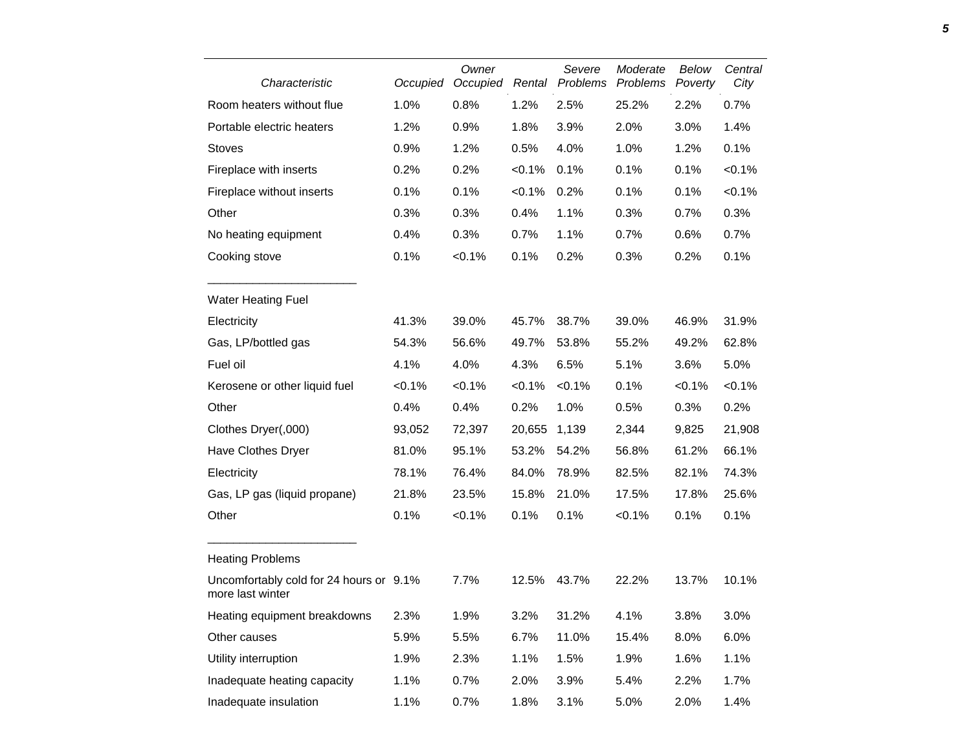| Characteristic                                              | Occupied | Owner<br>Occupied | Rental    | Severe<br>Problems | Moderate<br>Problems | Below<br>Poverty | Central<br>City |
|-------------------------------------------------------------|----------|-------------------|-----------|--------------------|----------------------|------------------|-----------------|
| Room heaters without flue                                   | 1.0%     | 0.8%              | 1.2%      | 2.5%               | 25.2%                | 2.2%             | 0.7%            |
| Portable electric heaters                                   | 1.2%     | 0.9%              | 1.8%      | 3.9%               | 2.0%                 | 3.0%             | 1.4%            |
| <b>Stoves</b>                                               | 0.9%     | 1.2%              | 0.5%      | 4.0%               | 1.0%                 | 1.2%             | 0.1%            |
| Fireplace with inserts                                      | 0.2%     | 0.2%              | < 0.1%    | 0.1%               | 0.1%                 | 0.1%             | < 0.1%          |
| Fireplace without inserts                                   | 0.1%     | 0.1%              | $< 0.1\%$ | 0.2%               | 0.1%                 | 0.1%             | < 0.1%          |
| Other                                                       | 0.3%     | 0.3%              | 0.4%      | 1.1%               | 0.3%                 | 0.7%             | 0.3%            |
| No heating equipment                                        | 0.4%     | 0.3%              | 0.7%      | 1.1%               | 0.7%                 | 0.6%             | 0.7%            |
| Cooking stove                                               | 0.1%     | < 0.1%            | 0.1%      | 0.2%               | 0.3%                 | 0.2%             | 0.1%            |
| <b>Water Heating Fuel</b>                                   |          |                   |           |                    |                      |                  |                 |
| Electricity                                                 | 41.3%    | 39.0%             | 45.7%     | 38.7%              | 39.0%                | 46.9%            | 31.9%           |
| Gas, LP/bottled gas                                         | 54.3%    | 56.6%             | 49.7%     | 53.8%              | 55.2%                | 49.2%            | 62.8%           |
| Fuel oil                                                    | 4.1%     | 4.0%              | 4.3%      | 6.5%               | 5.1%                 | 3.6%             | 5.0%            |
| Kerosene or other liquid fuel                               | < 0.1%   | < 0.1%            | $< 0.1\%$ | < 0.1%             | 0.1%                 | $< 0.1\%$        | $< 0.1\%$       |
| Other                                                       | 0.4%     | 0.4%              | 0.2%      | 1.0%               | 0.5%                 | 0.3%             | 0.2%            |
| Clothes Dryer(,000)                                         | 93,052   | 72,397            | 20,655    | 1,139              | 2,344                | 9,825            | 21,908          |
| Have Clothes Dryer                                          | 81.0%    | 95.1%             | 53.2%     | 54.2%              | 56.8%                | 61.2%            | 66.1%           |
| Electricity                                                 | 78.1%    | 76.4%             | 84.0%     | 78.9%              | 82.5%                | 82.1%            | 74.3%           |
| Gas, LP gas (liquid propane)                                | 21.8%    | 23.5%             | 15.8%     | 21.0%              | 17.5%                | 17.8%            | 25.6%           |
| Other                                                       | 0.1%     | < 0.1%            | 0.1%      | 0.1%               | < 0.1%               | 0.1%             | 0.1%            |
| <b>Heating Problems</b>                                     |          |                   |           |                    |                      |                  |                 |
| Uncomfortably cold for 24 hours or 9.1%<br>more last winter |          | 7.7%              | 12.5%     | 43.7%              | 22.2%                | 13.7%            | 10.1%           |
| Heating equipment breakdowns                                | 2.3%     | 1.9%              | 3.2%      | 31.2%              | 4.1%                 | 3.8%             | 3.0%            |
| Other causes                                                | 5.9%     | 5.5%              | 6.7%      | 11.0%              | 15.4%                | 8.0%             | 6.0%            |
| Utility interruption                                        | 1.9%     | 2.3%              | 1.1%      | 1.5%               | 1.9%                 | 1.6%             | 1.1%            |
| Inadequate heating capacity                                 | 1.1%     | 0.7%              | 2.0%      | 3.9%               | 5.4%                 | 2.2%             | 1.7%            |
| Inadequate insulation                                       | 1.1%     | 0.7%              | 1.8%      | 3.1%               | 5.0%                 | 2.0%             | 1.4%            |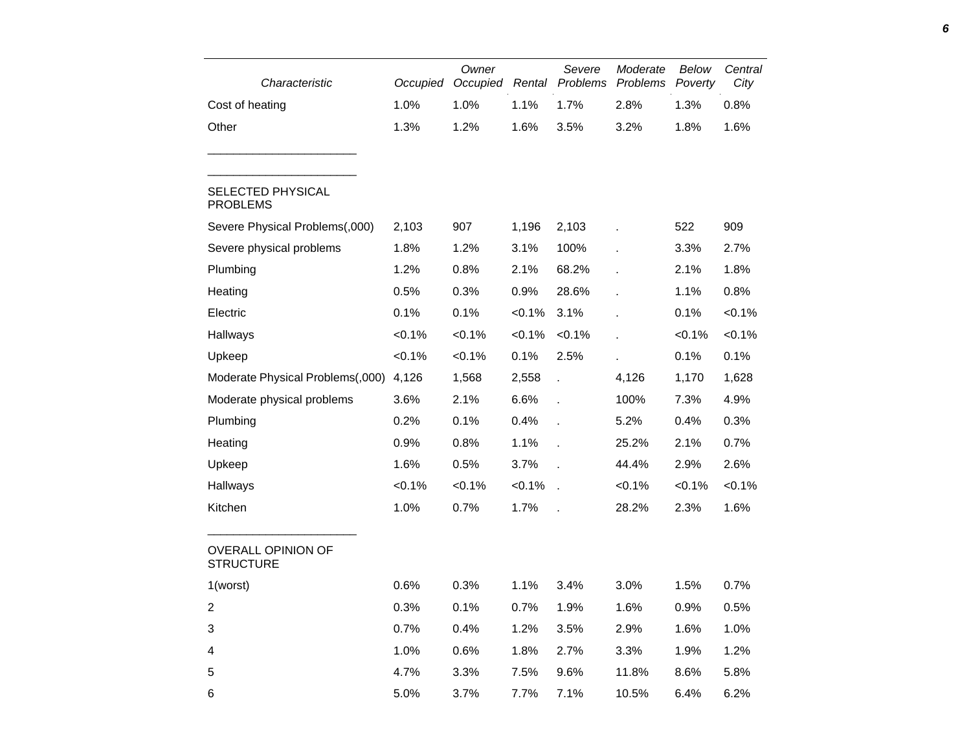| Characteristic                                | Occupied  | Owner<br>Occupied | Rental    | Severe<br>Problems | Moderate<br>Problems | Below<br>Poverty | Central<br>City |
|-----------------------------------------------|-----------|-------------------|-----------|--------------------|----------------------|------------------|-----------------|
| Cost of heating                               | 1.0%      | 1.0%              | 1.1%      | 1.7%               | 2.8%                 | 1.3%             | 0.8%            |
| Other                                         | 1.3%      | 1.2%              | 1.6%      | 3.5%               | 3.2%                 | 1.8%             | 1.6%            |
| <b>SELECTED PHYSICAL</b><br><b>PROBLEMS</b>   |           |                   |           |                    |                      |                  |                 |
| Severe Physical Problems(,000)                | 2,103     | 907               | 1,196     | 2,103              |                      | 522              | 909             |
| Severe physical problems                      | 1.8%      | 1.2%              | 3.1%      | 100%               |                      | 3.3%             | 2.7%            |
| Plumbing                                      | 1.2%      | 0.8%              | 2.1%      | 68.2%              |                      | 2.1%             | 1.8%            |
| Heating                                       | 0.5%      | 0.3%              | 0.9%      | 28.6%              |                      | 1.1%             | 0.8%            |
| Electric                                      | 0.1%      | 0.1%              | $< 0.1\%$ | 3.1%               |                      | 0.1%             | $< 0.1\%$       |
| Hallways                                      | $< 0.1\%$ | $< 0.1\%$         | $< 0.1\%$ | $< 0.1\%$          |                      | $< 0.1\%$        | $< 0.1\%$       |
| Upkeep                                        | $< 0.1\%$ | $< 0.1\%$         | 0.1%      | 2.5%               |                      | 0.1%             | 0.1%            |
| Moderate Physical Problems(,000)              | 4,126     | 1,568             | 2,558     |                    | 4,126                | 1,170            | 1,628           |
| Moderate physical problems                    | 3.6%      | 2.1%              | 6.6%      |                    | 100%                 | 7.3%             | 4.9%            |
| Plumbing                                      | 0.2%      | 0.1%              | 0.4%      |                    | 5.2%                 | 0.4%             | 0.3%            |
| Heating                                       | 0.9%      | 0.8%              | 1.1%      |                    | 25.2%                | 2.1%             | 0.7%            |
| Upkeep                                        | 1.6%      | 0.5%              | 3.7%      |                    | 44.4%                | 2.9%             | 2.6%            |
| Hallways                                      | $< 0.1\%$ | $< 0.1\%$         | $< 0.1\%$ |                    | $< 0.1\%$            | < 0.1%           | $< 0.1\%$       |
| Kitchen                                       | 1.0%      | 0.7%              | 1.7%      |                    | 28.2%                | 2.3%             | 1.6%            |
| <b>OVERALL OPINION OF</b><br><b>STRUCTURE</b> |           |                   |           |                    |                      |                  |                 |
| 1(worst)                                      | 0.6%      | 0.3%              | 1.1%      | 3.4%               | 3.0%                 | 1.5%             | 0.7%            |
| $\boldsymbol{2}$                              | 0.3%      | 0.1%              | 0.7%      | 1.9%               | 1.6%                 | 0.9%             | 0.5%            |
| 3                                             | 0.7%      | 0.4%              | 1.2%      | 3.5%               | 2.9%                 | 1.6%             | 1.0%            |
| 4                                             | 1.0%      | 0.6%              | 1.8%      | 2.7%               | 3.3%                 | 1.9%             | 1.2%            |
| $\mathbf 5$                                   | 4.7%      | 3.3%              | 7.5%      | 9.6%               | 11.8%                | 8.6%             | 5.8%            |
| 6                                             | 5.0%      | 3.7%              | 7.7%      | 7.1%               | 10.5%                | 6.4%             | 6.2%            |